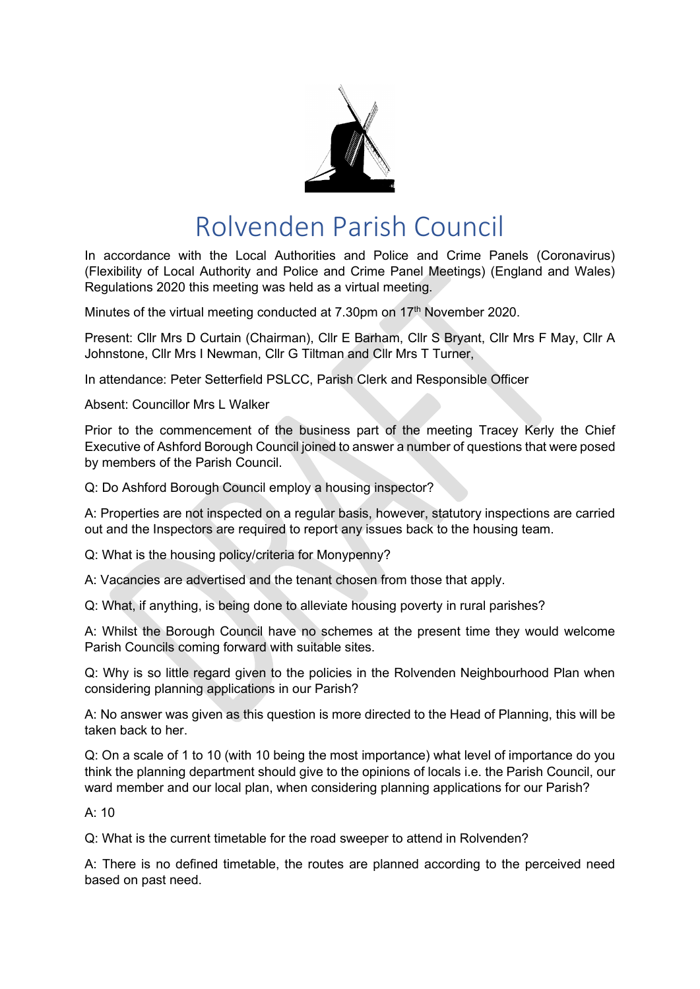

# Rolvenden Parish Council

In accordance with the Local Authorities and Police and Crime Panels (Coronavirus) (Flexibility of Local Authority and Police and Crime Panel Meetings) (England and Wales) Regulations 2020 this meeting was held as a virtual meeting.

Minutes of the virtual meeting conducted at 7.30pm on 17<sup>th</sup> November 2020.

Present: Cllr Mrs D Curtain (Chairman), Cllr E Barham, Cllr S Bryant, Cllr Mrs F May, Cllr A Johnstone, Cllr Mrs I Newman, Cllr G Tiltman and Cllr Mrs T Turner,

In attendance: Peter Setterfield PSLCC, Parish Clerk and Responsible Officer

Absent: Councillor Mrs L Walker

Prior to the commencement of the business part of the meeting Tracey Kerly the Chief Executive of Ashford Borough Council joined to answer a number of questions that were posed by members of the Parish Council.

Q: Do Ashford Borough Council employ a housing inspector?

A: Properties are not inspected on a regular basis, however, statutory inspections are carried out and the Inspectors are required to report any issues back to the housing team.

Q: What is the housing policy/criteria for Monypenny?

A: Vacancies are advertised and the tenant chosen from those that apply.

Q: What, if anything, is being done to alleviate housing poverty in rural parishes?

A: Whilst the Borough Council have no schemes at the present time they would welcome Parish Councils coming forward with suitable sites.

Q: Why is so little regard given to the policies in the Rolvenden Neighbourhood Plan when considering planning applications in our Parish?

A: No answer was given as this question is more directed to the Head of Planning, this will be taken back to her

Q: On a scale of 1 to 10 (with 10 being the most importance) what level of importance do you think the planning department should give to the opinions of locals i.e. the Parish Council, our ward member and our local plan, when considering planning applications for our Parish?

 $A: 10$ 

Q: What is the current timetable for the road sweeper to attend in Rolvenden?

A: There is no defined timetable, the routes are planned according to the perceived need based on past need.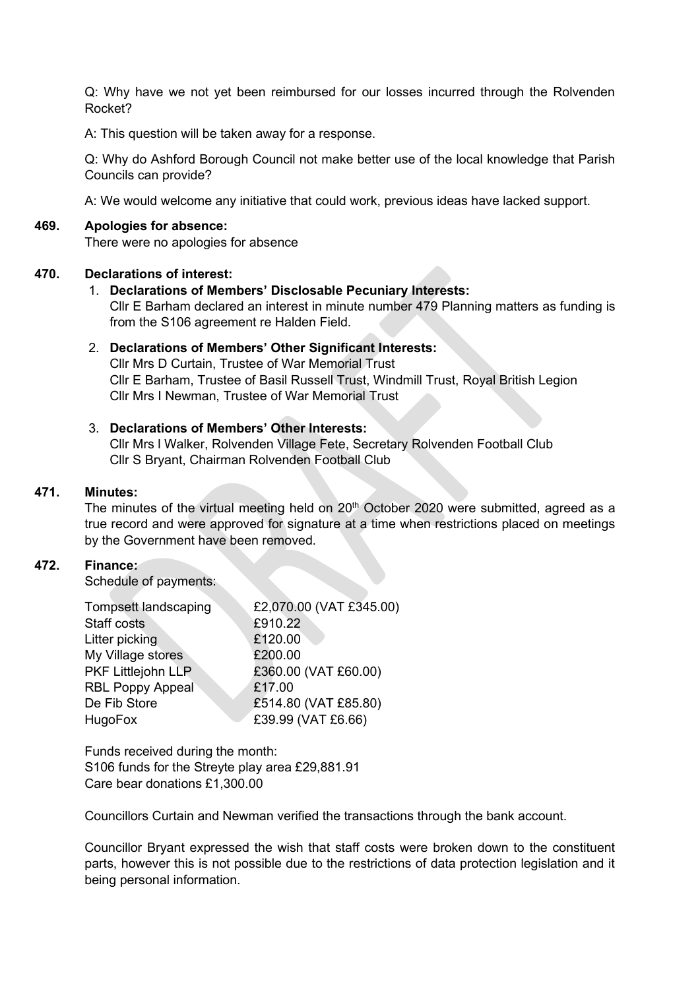Q: Why have we not yet been reimbursed for our losses incurred through the Rolvenden Rocket?

A: This question will be taken away for a response.

Q: Why do Ashford Borough Council not make better use of the local knowledge that Parish Councils can provide?

A: We would welcome any initiative that could work, previous ideas have lacked support.

# **469. Apologies for absence:**

There were no apologies for absence

# **470. Declarations of interest:**

1. **Declarations of Members' Disclosable Pecuniary Interests:** Cllr E Barham declared an interest in minute number 479 Planning matters as funding is from the S106 agreement re Halden Field.

# 2. **Declarations of Members' Other Significant Interests:** Cllr Mrs D Curtain, Trustee of War Memorial Trust Cllr E Barham, Trustee of Basil Russell Trust, Windmill Trust, Royal British Legion Cllr Mrs I Newman, Trustee of War Memorial Trust

# 3. **Declarations of Members' Other Interests:**

Cllr Mrs l Walker, Rolvenden Village Fete, Secretary Rolvenden Football Club Cllr S Bryant, Chairman Rolvenden Football Club

#### **471. Minutes:**

The minutes of the virtual meeting held on  $20<sup>th</sup>$  October 2020 were submitted, agreed as a true record and were approved for signature at a time when restrictions placed on meetings by the Government have been removed.

#### **472. Finance:**

Schedule of payments:

| £2,070.00 (VAT £345.00) |
|-------------------------|
| £910.22                 |
| £120.00                 |
| £200.00                 |
| £360.00 (VAT £60.00)    |
| £17.00                  |
| £514.80 (VAT £85.80)    |
| £39.99 (VAT £6.66)      |
|                         |

Funds received during the month: S106 funds for the Streyte play area £29,881.91 Care bear donations £1,300.00

Councillors Curtain and Newman verified the transactions through the bank account.

Councillor Bryant expressed the wish that staff costs were broken down to the constituent parts, however this is not possible due to the restrictions of data protection legislation and it being personal information.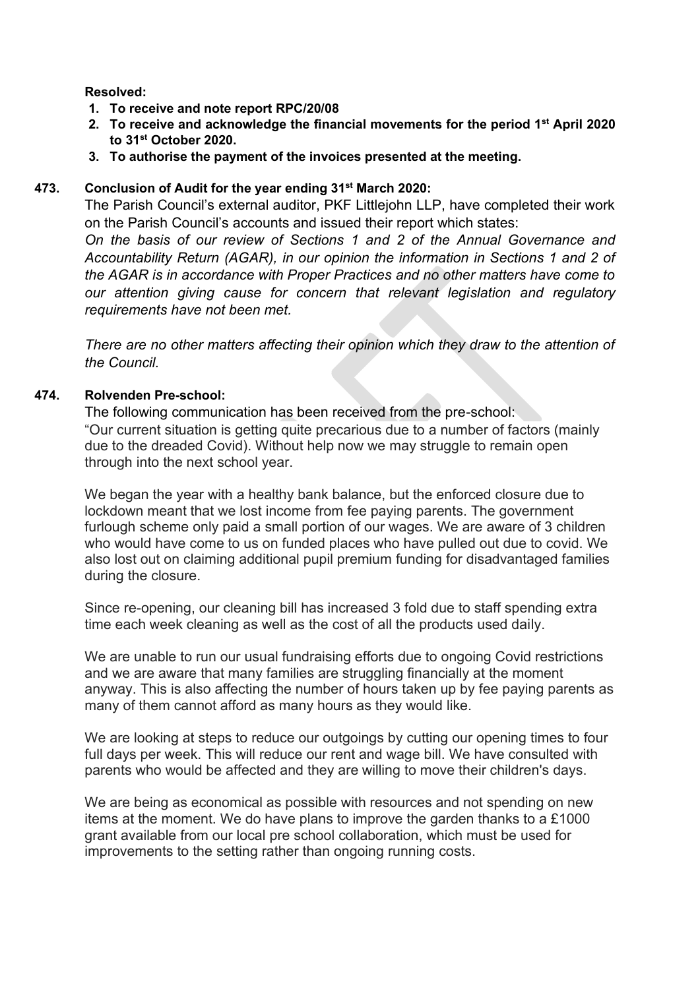# **Resolved:**

- **1. To receive and note report RPC/20/08**
- **2. To receive and acknowledge the financial movements for the period 1st April 2020 to 31st October 2020.**
- **3. To authorise the payment of the invoices presented at the meeting.**

# **473. Conclusion of Audit for the year ending 31st March 2020:**

The Parish Council's external auditor, PKF Littlejohn LLP, have completed their work on the Parish Council's accounts and issued their report which states:

*On the basis of our review of Sections 1 and 2 of the Annual Governance and Accountability Return (AGAR), in our opinion the information in Sections 1 and 2 of the AGAR is in accordance with Proper Practices and no other matters have come to our attention giving cause for concern that relevant legislation and regulatory requirements have not been met.*

*There are no other matters affecting their opinion which they draw to the attention of the Council.*

# **474. Rolvenden Pre-school:**

The following communication has been received from the pre-school: "Our current situation is getting quite precarious due to a number of factors (mainly due to the dreaded Covid). Without help now we may struggle to remain open through into the next school year.

We began the year with a healthy bank balance, but the enforced closure due to lockdown meant that we lost income from fee paying parents. The government furlough scheme only paid a small portion of our wages. We are aware of 3 children who would have come to us on funded places who have pulled out due to covid. We also lost out on claiming additional pupil premium funding for disadvantaged families during the closure.

Since re-opening, our cleaning bill has increased 3 fold due to staff spending extra time each week cleaning as well as the cost of all the products used daily.

We are unable to run our usual fundraising efforts due to ongoing Covid restrictions and we are aware that many families are struggling financially at the moment anyway. This is also affecting the number of hours taken up by fee paying parents as many of them cannot afford as many hours as they would like.

We are looking at steps to reduce our outgoings by cutting our opening times to four full days per week. This will reduce our rent and wage bill. We have consulted with parents who would be affected and they are willing to move their children's days.

We are being as economical as possible with resources and not spending on new items at the moment. We do have plans to improve the garden thanks to a £1000 grant available from our local pre school collaboration, which must be used for improvements to the setting rather than ongoing running costs.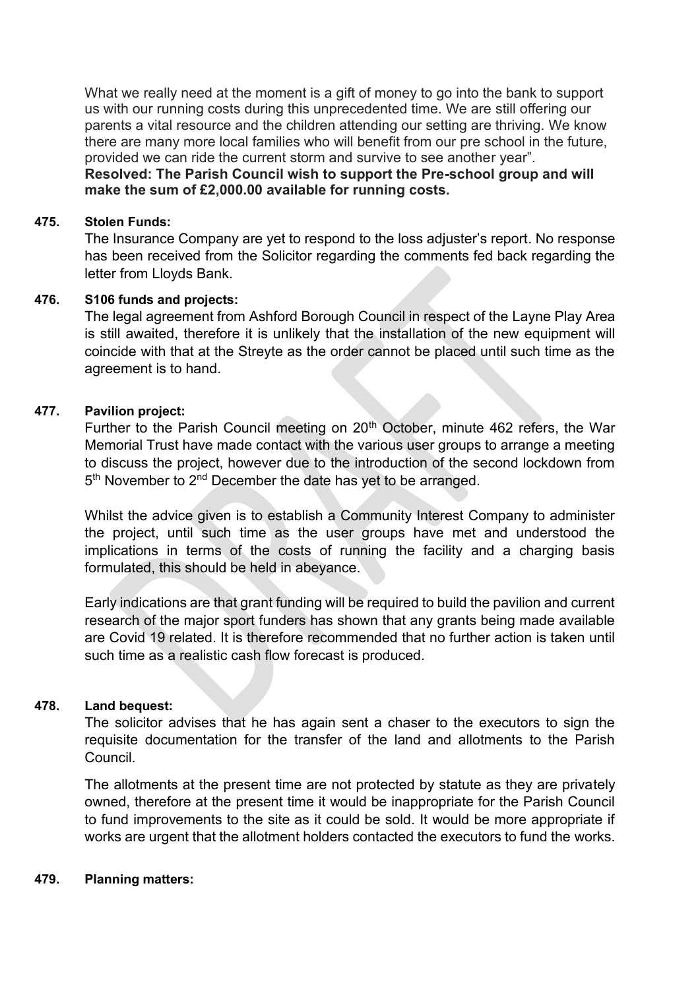What we really need at the moment is a gift of money to go into the bank to support us with our running costs during this unprecedented time. We are still offering our parents a vital resource and the children attending our setting are thriving. We know there are many more local families who will benefit from our pre school in the future, provided we can ride the current storm and survive to see another year".

**Resolved: The Parish Council wish to support the Pre-school group and will make the sum of £2,000.00 available for running costs.**

## **475. Stolen Funds:**

The Insurance Company are yet to respond to the loss adjuster's report. No response has been received from the Solicitor regarding the comments fed back regarding the letter from Lloyds Bank.

# **476. S106 funds and projects:**

The legal agreement from Ashford Borough Council in respect of the Layne Play Area is still awaited, therefore it is unlikely that the installation of the new equipment will coincide with that at the Streyte as the order cannot be placed until such time as the agreement is to hand.

# **477. Pavilion project:**

Further to the Parish Council meeting on 20<sup>th</sup> October, minute 462 refers, the War Memorial Trust have made contact with the various user groups to arrange a meeting to discuss the project, however due to the introduction of the second lockdown from 5<sup>th</sup> November to 2<sup>nd</sup> December the date has yet to be arranged.

Whilst the advice given is to establish a Community Interest Company to administer the project, until such time as the user groups have met and understood the implications in terms of the costs of running the facility and a charging basis formulated, this should be held in abeyance.

Early indications are that grant funding will be required to build the pavilion and current research of the major sport funders has shown that any grants being made available are Covid 19 related. It is therefore recommended that no further action is taken until such time as a realistic cash flow forecast is produced.

# **478. Land bequest:**

The solicitor advises that he has again sent a chaser to the executors to sign the requisite documentation for the transfer of the land and allotments to the Parish Council.

The allotments at the present time are not protected by statute as they are privately owned, therefore at the present time it would be inappropriate for the Parish Council to fund improvements to the site as it could be sold. It would be more appropriate if works are urgent that the allotment holders contacted the executors to fund the works.

# **479. Planning matters:**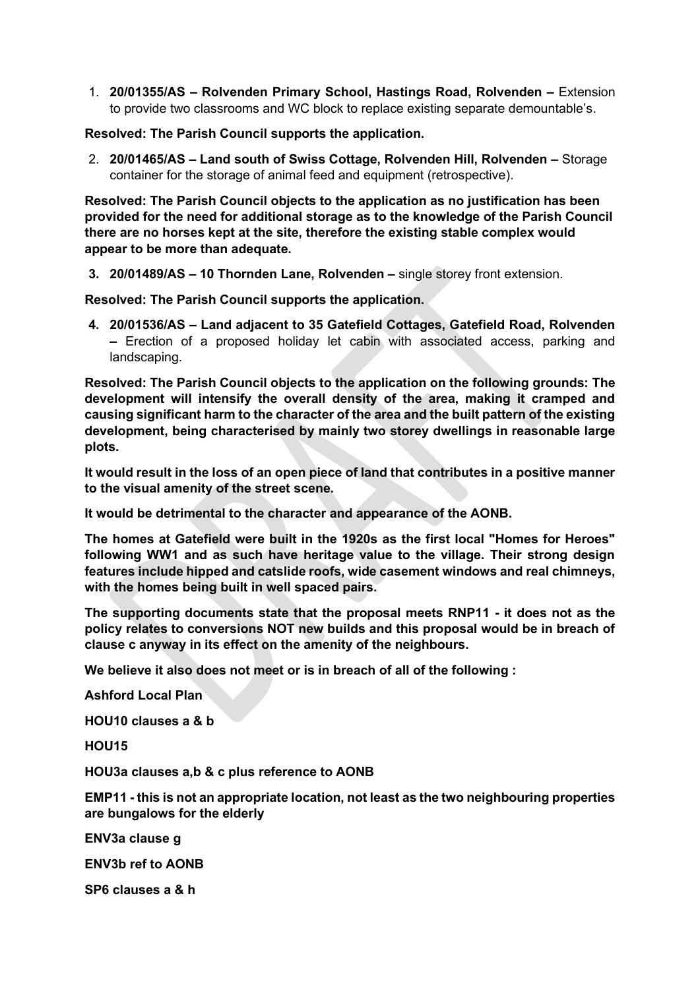1. **20/01355/AS – Rolvenden Primary School, Hastings Road, Rolvenden –** Extension to provide two classrooms and WC block to replace existing separate demountable's.

**Resolved: The Parish Council supports the application.**

2. **20/01465/AS – Land south of Swiss Cottage, Rolvenden Hill, Rolvenden –** Storage container for the storage of animal feed and equipment (retrospective).

**Resolved: The Parish Council objects to the application as no justification has been provided for the need for additional storage as to the knowledge of the Parish Council there are no horses kept at the site, therefore the existing stable complex would appear to be more than adequate.**

**3. 20/01489/AS – 10 Thornden Lane, Rolvenden –** single storey front extension.

**Resolved: The Parish Council supports the application.**

**4. 20/01536/AS – Land adjacent to 35 Gatefield Cottages, Gatefield Road, Rolvenden –** Erection of a proposed holiday let cabin with associated access, parking and landscaping.

**Resolved: The Parish Council objects to the application on the following grounds: The development will intensify the overall density of the area, making it cramped and causing significant harm to the character of the area and the built pattern of the existing development, being characterised by mainly two storey dwellings in reasonable large plots.**

**It would result in the loss of an open piece of land that contributes in a positive manner to the visual amenity of the street scene.**

**It would be detrimental to the character and appearance of the AONB.**

**The homes at Gatefield were built in the 1920s as the first local "Homes for Heroes" following WW1 and as such have heritage value to the village. Their strong design features include hipped and catslide roofs, wide casement windows and real chimneys, with the homes being built in well spaced pairs.**

**The supporting documents state that the proposal meets RNP11 - it does not as the policy relates to conversions NOT new builds and this proposal would be in breach of clause c anyway in its effect on the amenity of the neighbours.**

**We believe it also does not meet or is in breach of all of the following :**

**Ashford Local Plan**

**HOU10 clauses a & b**

**HOU15**

**HOU3a clauses a,b & c plus reference to AONB**

**EMP11 - this is not an appropriate location, not least as the two neighbouring properties are bungalows for the elderly**

**ENV3a clause g**

**ENV3b ref to AONB**

**SP6 clauses a & h**